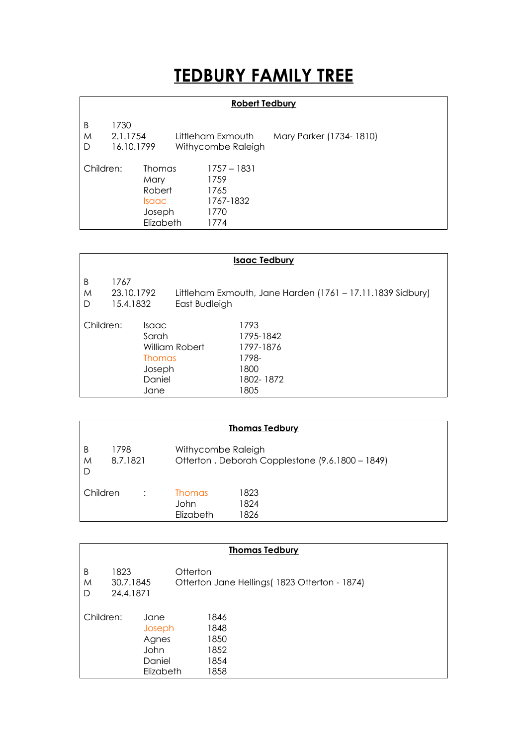## **TEDBURY FAMILY TREE**

## **Robert Tedbury**

| B<br>M<br>D | 1730<br>2.1.1754<br>16.10.1799 |                                                          | Littleham Exmouth<br>Withycombe Raleigh |                                                          | Mary Parker (1734-1810) |
|-------------|--------------------------------|----------------------------------------------------------|-----------------------------------------|----------------------------------------------------------|-------------------------|
| Children:   |                                | Thomas<br>Mary<br>Robert<br>Isaac<br>Joseph<br>Elizabeth |                                         | 1757 – 1831<br>1759<br>1765<br>1767-1832<br>1770<br>1774 |                         |

|             | <b>Isaac Tedbury</b>            |                                                                    |                |                                                                      |  |
|-------------|---------------------------------|--------------------------------------------------------------------|----------------|----------------------------------------------------------------------|--|
| B<br>M<br>D | 1767<br>23.10.1792<br>15.4.1832 |                                                                    | East Budleigh  | Littleham Exmouth, Jane Harden (1761 – 17.11.1839 Sidbury)           |  |
| Children:   |                                 | <i>Isaac</i><br>Sarah<br><b>Thomas</b><br>Joseph<br>Daniel<br>Jane | William Robert | 1793<br>1795-1842<br>1797-1876<br>1798-<br>1800<br>1802-1872<br>1805 |  |

|             |                  |                                                                       | <b>Thomas Tedbury</b> |  |
|-------------|------------------|-----------------------------------------------------------------------|-----------------------|--|
| B<br>M<br>D | 1798<br>8.7.1821 | Withycombe Raleigh<br>Otterton, Deborah Copplestone (9.6.1800 - 1849) |                       |  |
| Children    |                  | <b>Thomas</b><br>John<br>Elizabeth                                    | 1823<br>1824<br>1826  |  |

|             |                                |                                                        | <b>Thomas Tedbury</b>                                     |
|-------------|--------------------------------|--------------------------------------------------------|-----------------------------------------------------------|
| B<br>M<br>D | 1823<br>30.7.1845<br>24.4.1871 |                                                        | Otterton<br>Otterton Jane Hellings (1823 Otterton - 1874) |
| Children:   |                                | Jane<br>Joseph<br>Agnes<br>John<br>Daniel<br>Elizabeth | 1846<br>1848<br>1850<br>1852<br>1854<br>1858              |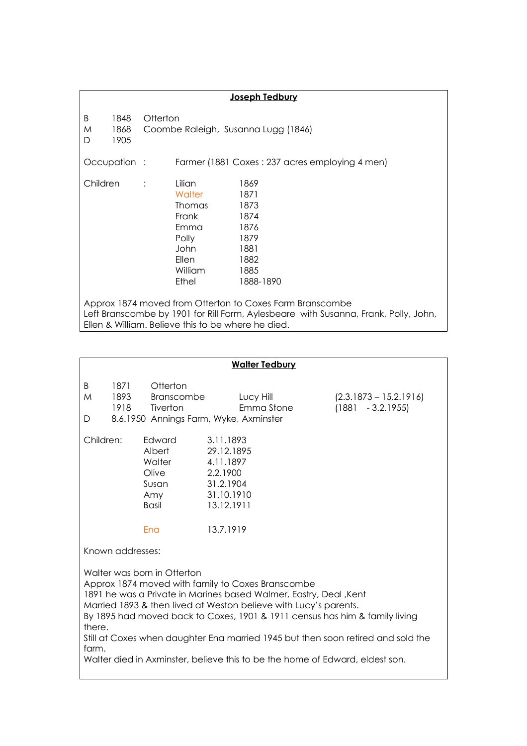|                                                                                                                                                                                                       |                      | Joseph Tedbury                                                                                                                                                                               |  |
|-------------------------------------------------------------------------------------------------------------------------------------------------------------------------------------------------------|----------------------|----------------------------------------------------------------------------------------------------------------------------------------------------------------------------------------------|--|
| B<br>M<br>D                                                                                                                                                                                           | 1848<br>1868<br>1905 | Otterton<br>Coombe Raleigh, Susanna Lugg (1846)                                                                                                                                              |  |
|                                                                                                                                                                                                       | Occupation :         | Farmer (1881 Coxes: 237 acres employing 4 men)                                                                                                                                               |  |
| Children                                                                                                                                                                                              |                      | Lilian<br>1869<br>Walter<br>1871<br>1873<br><b>Thomas</b><br>Frank<br>1874<br>1876<br>Emma<br>Polly<br>1879<br>John<br>1881<br>Ellen<br>1882<br><b>William</b><br>1885<br>Ethel<br>1888-1890 |  |
| Approx 1874 moved from Otterton to Coxes Farm Branscombe<br>Left Branscombe by 1901 for Rill Farm, Aylesbeare with Susanna, Frank, Polly, John,<br>Ellen & William. Believe this to be where he died. |                      |                                                                                                                                                                                              |  |

|                                                                                                                                                                                                                                                                                                                                                                                                                                                                                                                      |                      |                                    | <b>Walter Tedbury</b>                                                                                  |                                                 |
|----------------------------------------------------------------------------------------------------------------------------------------------------------------------------------------------------------------------------------------------------------------------------------------------------------------------------------------------------------------------------------------------------------------------------------------------------------------------------------------------------------------------|----------------------|------------------------------------|--------------------------------------------------------------------------------------------------------|-------------------------------------------------|
| B<br>M<br>D                                                                                                                                                                                                                                                                                                                                                                                                                                                                                                          | 1871<br>1893<br>1918 | Otterton<br>Branscombe<br>Tiverton | Lucy Hill<br>Emma Stone<br>8.6.1950 Annings Farm, Wyke, Axminster                                      | $(2.3.1873 - 15.2.1916)$<br>$(1881 - 3.2.1955)$ |
| Children:<br>Albert<br>Walter<br>Olive<br>Amy<br><b>Basil</b><br>Ena                                                                                                                                                                                                                                                                                                                                                                                                                                                 |                      | Edward<br>Susan                    | 3.11.1893<br>29.12.1895<br>4.11.1897<br>2.2.1900<br>31.2.1904<br>31.10.1910<br>13.12.1911<br>13.7.1919 |                                                 |
| Known addresses:<br>Walter was born in Otterton<br>Approx 1874 moved with family to Coxes Branscombe<br>1891 he was a Private in Marines based Walmer, Eastry, Deal , Kent<br>Married 1893 & then lived at Weston believe with Lucy's parents.<br>By 1895 had moved back to Coxes, 1901 & 1911 census has him & family living<br>there.<br>Still at Coxes when daughter Ena married 1945 but then soon retired and sold the<br>farm.<br>Walter died in Axminster, believe this to be the home of Edward, eldest son. |                      |                                    |                                                                                                        |                                                 |